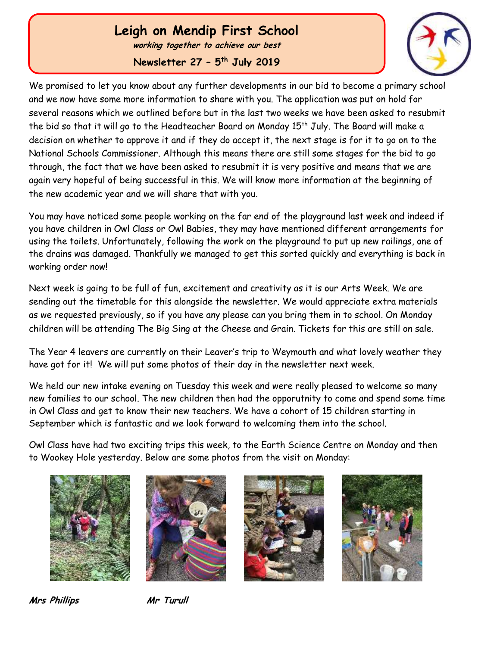# **Leigh on Mendip First School**

**working together to achieve our best**

**Newsletter 27 – 5 th July 2019**



We promised to let you know about any further developments in our bid to become a primary school and we now have some more information to share with you. The application was put on hold for several reasons which we outlined before but in the last two weeks we have been asked to resubmit the bid so that it will go to the Headteacher Board on Monday  $15<sup>th</sup>$  July. The Board will make a decision on whether to approve it and if they do accept it, the next stage is for it to go on to the National Schools Commissioner. Although this means there are still some stages for the bid to go through, the fact that we have been asked to resubmit it is very positive and means that we are again very hopeful of being successful in this. We will know more information at the beginning of the new academic year and we will share that with you.

You may have noticed some people working on the far end of the playground last week and indeed if you have children in Owl Class or Owl Babies, they may have mentioned different arrangements for using the toilets. Unfortunately, following the work on the playground to put up new railings, one of the drains was damaged. Thankfully we managed to get this sorted quickly and everything is back in working order now!

Next week is going to be full of fun, excitement and creativity as it is our Arts Week. We are sending out the timetable for this alongside the newsletter. We would appreciate extra materials as we requested previously, so if you have any please can you bring them in to school. On Monday children will be attending The Big Sing at the Cheese and Grain. Tickets for this are still on sale.

The Year 4 leavers are currently on their Leaver's trip to Weymouth and what lovely weather they have got for it! We will put some photos of their day in the newsletter next week.

We held our new intake evening on Tuesday this week and were really pleased to welcome so many new families to our school. The new children then had the opporutnity to come and spend some time in Owl Class and get to know their new teachers. We have a cohort of 15 children starting in September which is fantastic and we look forward to welcoming them into the school.

Owl Class have had two exciting trips this week, to the Earth Science Centre on Monday and then to Wookey Hole yesterday. Below are some photos from the visit on Monday:









**Mrs Phillips Mr Turull**